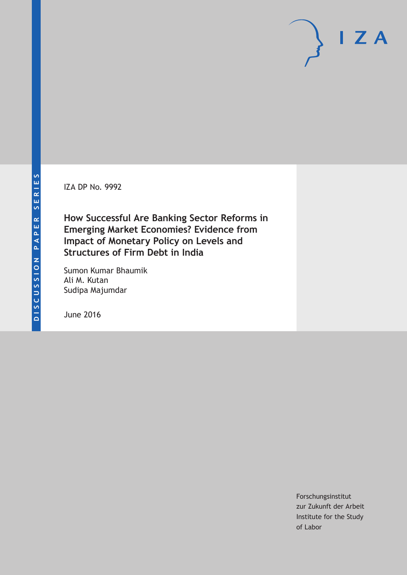IZA DP No. 9992

**How Successful Are Banking Sector Reforms in Emerging Market Economies? Evidence from Impact of Monetary Policy on Levels and Structures of Firm Debt in India**

Sumon Kumar Bhaumik Ali M. Kutan Sudipa Majumdar

June 2016

Forschungsinstitut zur Zukunft der Arbeit Institute for the Study of Labor

 $I Z A$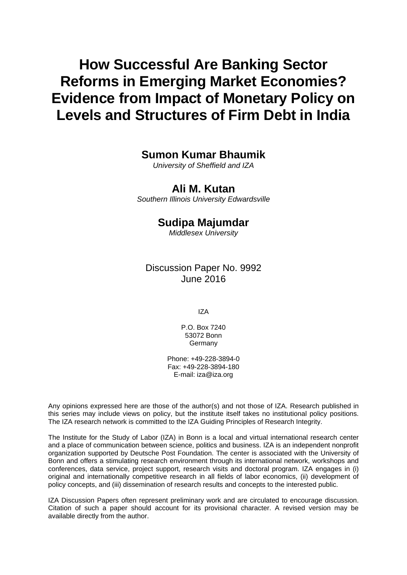# **How Successful Are Banking Sector Reforms in Emerging Market Economies? Evidence from Impact of Monetary Policy on Levels and Structures of Firm Debt in India**

## **Sumon Kumar Bhaumik**

*University of Sheffield and IZA* 

## **Ali M. Kutan**

*Southern Illinois University Edwardsville* 

## **Sudipa Majumdar**

*Middlesex University*

## Discussion Paper No. 9992 June 2016

IZA

P.O. Box 7240 53072 Bonn **Germany** 

Phone: +49-228-3894-0 Fax: +49-228-3894-180 E-mail: iza@iza.org

Any opinions expressed here are those of the author(s) and not those of IZA. Research published in this series may include views on policy, but the institute itself takes no institutional policy positions. The IZA research network is committed to the IZA Guiding Principles of Research Integrity.

The Institute for the Study of Labor (IZA) in Bonn is a local and virtual international research center and a place of communication between science, politics and business. IZA is an independent nonprofit organization supported by Deutsche Post Foundation. The center is associated with the University of Bonn and offers a stimulating research environment through its international network, workshops and conferences, data service, project support, research visits and doctoral program. IZA engages in (i) original and internationally competitive research in all fields of labor economics, (ii) development of policy concepts, and (iii) dissemination of research results and concepts to the interested public.

IZA Discussion Papers often represent preliminary work and are circulated to encourage discussion. Citation of such a paper should account for its provisional character. A revised version may be available directly from the author.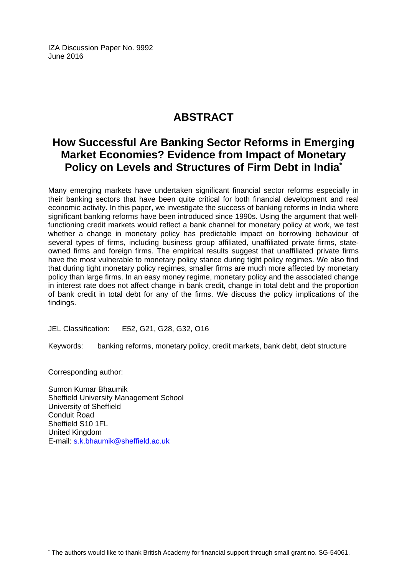IZA Discussion Paper No. 9992 June 2016

## **ABSTRACT**

## **How Successful Are Banking Sector Reforms in Emerging Market Economies? Evidence from Impact of Monetary Policy on Levels and Structures of Firm Debt in India\***

Many emerging markets have undertaken significant financial sector reforms especially in their banking sectors that have been quite critical for both financial development and real economic activity. In this paper, we investigate the success of banking reforms in India where significant banking reforms have been introduced since 1990s. Using the argument that wellfunctioning credit markets would reflect a bank channel for monetary policy at work, we test whether a change in monetary policy has predictable impact on borrowing behaviour of several types of firms, including business group affiliated, unaffiliated private firms, stateowned firms and foreign firms. The empirical results suggest that unaffiliated private firms have the most vulnerable to monetary policy stance during tight policy regimes. We also find that during tight monetary policy regimes, smaller firms are much more affected by monetary policy than large firms. In an easy money regime, monetary policy and the associated change in interest rate does not affect change in bank credit, change in total debt and the proportion of bank credit in total debt for any of the firms. We discuss the policy implications of the findings.

JEL Classification: E52, G21, G28, G32, O16

Keywords: banking reforms, monetary policy, credit markets, bank debt, debt structure

Corresponding author:

 $\overline{a}$ \*

Sumon Kumar Bhaumik Sheffield University Management School University of Sheffield Conduit Road Sheffield S10 1FL United Kingdom E-mail: s.k.bhaumik@sheffield.ac.uk

The authors would like to thank British Academy for financial support through small grant no. SG-54061.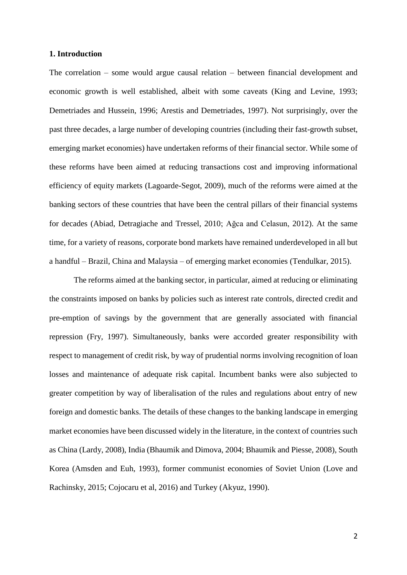#### **1. Introduction**

The correlation – some would argue causal relation – between financial development and economic growth is well established, albeit with some caveats (King and Levine, 1993; Demetriades and Hussein, 1996; Arestis and Demetriades, 1997). Not surprisingly, over the past three decades, a large number of developing countries (including their fast-growth subset, emerging market economies) have undertaken reforms of their financial sector. While some of these reforms have been aimed at reducing transactions cost and improving informational efficiency of equity markets (Lagoarde-Segot, 2009), much of the reforms were aimed at the banking sectors of these countries that have been the central pillars of their financial systems for decades (Abiad, Detragiache and Tressel, 2010; Ağca and Celasun, 2012). At the same time, for a variety of reasons, corporate bond markets have remained underdeveloped in all but a handful – Brazil, China and Malaysia – of emerging market economies (Tendulkar, 2015).

The reforms aimed at the banking sector, in particular, aimed at reducing or eliminating the constraints imposed on banks by policies such as interest rate controls, directed credit and pre-emption of savings by the government that are generally associated with financial repression (Fry, 1997). Simultaneously, banks were accorded greater responsibility with respect to management of credit risk, by way of prudential norms involving recognition of loan losses and maintenance of adequate risk capital. Incumbent banks were also subjected to greater competition by way of liberalisation of the rules and regulations about entry of new foreign and domestic banks. The details of these changes to the banking landscape in emerging market economies have been discussed widely in the literature, in the context of countries such as China (Lardy, 2008), India (Bhaumik and Dimova, 2004; Bhaumik and Piesse, 2008), South Korea (Amsden and Euh, 1993), former communist economies of Soviet Union (Love and Rachinsky, 2015; Cojocaru et al, 2016) and Turkey (Akyuz, 1990).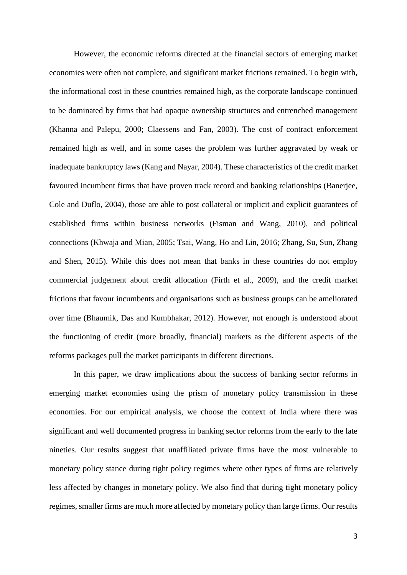However, the economic reforms directed at the financial sectors of emerging market economies were often not complete, and significant market frictions remained. To begin with, the informational cost in these countries remained high, as the corporate landscape continued to be dominated by firms that had opaque ownership structures and entrenched management (Khanna and Palepu, 2000; Claessens and Fan, 2003). The cost of contract enforcement remained high as well, and in some cases the problem was further aggravated by weak or inadequate bankruptcy laws (Kang and Nayar, 2004). These characteristics of the credit market favoured incumbent firms that have proven track record and banking relationships (Banerjee, Cole and Duflo, 2004), those are able to post collateral or implicit and explicit guarantees of established firms within business networks (Fisman and Wang, 2010), and political connections (Khwaja and Mian, 2005; Tsai, Wang, Ho and Lin, 2016; Zhang, Su, Sun, Zhang and Shen, 2015). While this does not mean that banks in these countries do not employ commercial judgement about credit allocation (Firth et al., 2009), and the credit market frictions that favour incumbents and organisations such as business groups can be ameliorated over time (Bhaumik, Das and Kumbhakar, 2012). However, not enough is understood about the functioning of credit (more broadly, financial) markets as the different aspects of the reforms packages pull the market participants in different directions.

In this paper, we draw implications about the success of banking sector reforms in emerging market economies using the prism of monetary policy transmission in these economies. For our empirical analysis, we choose the context of India where there was significant and well documented progress in banking sector reforms from the early to the late nineties. Our results suggest that unaffiliated private firms have the most vulnerable to monetary policy stance during tight policy regimes where other types of firms are relatively less affected by changes in monetary policy. We also find that during tight monetary policy regimes, smaller firms are much more affected by monetary policy than large firms. Our results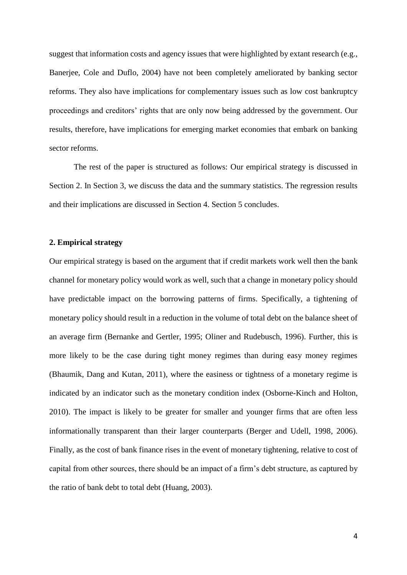suggest that information costs and agency issues that were highlighted by extant research (e.g., Banerjee, Cole and Duflo, 2004) have not been completely ameliorated by banking sector reforms. They also have implications for complementary issues such as low cost bankruptcy proceedings and creditors' rights that are only now being addressed by the government. Our results, therefore, have implications for emerging market economies that embark on banking sector reforms.

The rest of the paper is structured as follows: Our empirical strategy is discussed in Section 2. In Section 3, we discuss the data and the summary statistics. The regression results and their implications are discussed in Section 4. Section 5 concludes.

#### **2. Empirical strategy**

Our empirical strategy is based on the argument that if credit markets work well then the bank channel for monetary policy would work as well, such that a change in monetary policy should have predictable impact on the borrowing patterns of firms. Specifically, a tightening of monetary policy should result in a reduction in the volume of total debt on the balance sheet of an average firm (Bernanke and Gertler, 1995; Oliner and Rudebusch, 1996). Further, this is more likely to be the case during tight money regimes than during easy money regimes (Bhaumik, Dang and Kutan, 2011), where the easiness or tightness of a monetary regime is indicated by an indicator such as the monetary condition index (Osborne-Kinch and Holton, 2010). The impact is likely to be greater for smaller and younger firms that are often less informationally transparent than their larger counterparts (Berger and Udell, 1998, 2006). Finally, as the cost of bank finance rises in the event of monetary tightening, relative to cost of capital from other sources, there should be an impact of a firm's debt structure, as captured by the ratio of bank debt to total debt (Huang, 2003).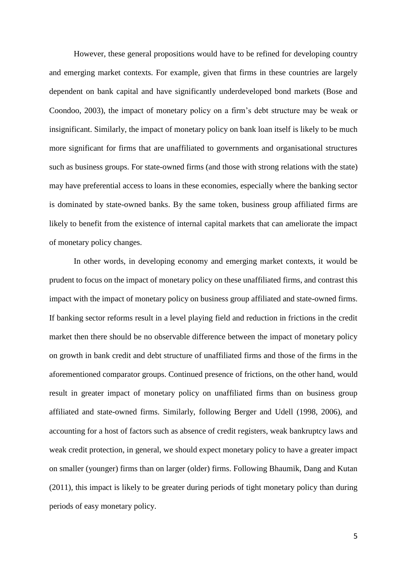However, these general propositions would have to be refined for developing country and emerging market contexts. For example, given that firms in these countries are largely dependent on bank capital and have significantly underdeveloped bond markets (Bose and Coondoo, 2003), the impact of monetary policy on a firm's debt structure may be weak or insignificant. Similarly, the impact of monetary policy on bank loan itself is likely to be much more significant for firms that are unaffiliated to governments and organisational structures such as business groups. For state-owned firms (and those with strong relations with the state) may have preferential access to loans in these economies, especially where the banking sector is dominated by state-owned banks. By the same token, business group affiliated firms are likely to benefit from the existence of internal capital markets that can ameliorate the impact of monetary policy changes.

In other words, in developing economy and emerging market contexts, it would be prudent to focus on the impact of monetary policy on these unaffiliated firms, and contrast this impact with the impact of monetary policy on business group affiliated and state-owned firms. If banking sector reforms result in a level playing field and reduction in frictions in the credit market then there should be no observable difference between the impact of monetary policy on growth in bank credit and debt structure of unaffiliated firms and those of the firms in the aforementioned comparator groups. Continued presence of frictions, on the other hand, would result in greater impact of monetary policy on unaffiliated firms than on business group affiliated and state-owned firms. Similarly, following Berger and Udell (1998, 2006), and accounting for a host of factors such as absence of credit registers, weak bankruptcy laws and weak credit protection, in general, we should expect monetary policy to have a greater impact on smaller (younger) firms than on larger (older) firms. Following Bhaumik, Dang and Kutan (2011), this impact is likely to be greater during periods of tight monetary policy than during periods of easy monetary policy.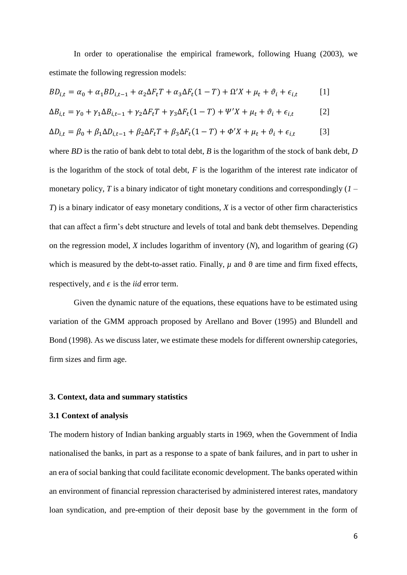In order to operationalise the empirical framework, following Huang (2003), we estimate the following regression models:

$$
BD_{i,t} = \alpha_0 + \alpha_1 BD_{i,t-1} + \alpha_2 \Delta F_t T + \alpha_3 \Delta F_t (1 - T) + \Omega' X + \mu_t + \vartheta_i + \epsilon_{i,t}
$$
 [1]

$$
\Delta B_{i,t} = \gamma_0 + \gamma_1 \Delta B_{i,t-1} + \gamma_2 \Delta F_t T + \gamma_3 \Delta F_t (1 - T) + \Psi' X + \mu_t + \vartheta_i + \epsilon_{i,t} \tag{2}
$$

$$
\Delta D_{i,t} = \beta_0 + \beta_1 \Delta D_{i,t-1} + \beta_2 \Delta F_t T + \beta_3 \Delta F_t (1 - T) + \Phi' X + \mu_t + \vartheta_i + \epsilon_{i,t} \tag{3}
$$

where *BD* is the ratio of bank debt to total debt, *B* is the logarithm of the stock of bank debt, *D* is the logarithm of the stock of total debt, *F* is the logarithm of the interest rate indicator of monetary policy,  $T$  is a binary indicator of tight monetary conditions and correspondingly  $(I -$ *T*) is a binary indicator of easy monetary conditions, *X* is a vector of other firm characteristics that can affect a firm's debt structure and levels of total and bank debt themselves. Depending on the regression model, *X* includes logarithm of inventory (*N*), and logarithm of gearing (*G*) which is measured by the debt-to-asset ratio. Finally,  $\mu$  and  $\vartheta$  are time and firm fixed effects, respectively, and  $\epsilon$  is the *iid* error term.

Given the dynamic nature of the equations, these equations have to be estimated using variation of the GMM approach proposed by Arellano and Bover (1995) and Blundell and Bond (1998). As we discuss later, we estimate these models for different ownership categories, firm sizes and firm age.

#### **3. Context, data and summary statistics**

#### **3.1 Context of analysis**

The modern history of Indian banking arguably starts in 1969, when the Government of India nationalised the banks, in part as a response to a spate of bank failures, and in part to usher in an era of social banking that could facilitate economic development. The banks operated within an environment of financial repression characterised by administered interest rates, mandatory loan syndication, and pre-emption of their deposit base by the government in the form of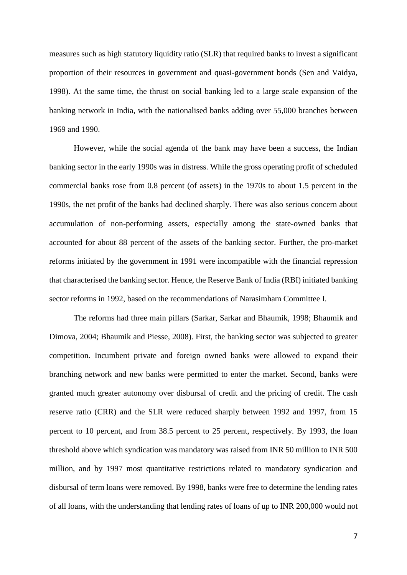measures such as high statutory liquidity ratio (SLR) that required banks to invest a significant proportion of their resources in government and quasi-government bonds (Sen and Vaidya, 1998). At the same time, the thrust on social banking led to a large scale expansion of the banking network in India, with the nationalised banks adding over 55,000 branches between 1969 and 1990.

However, while the social agenda of the bank may have been a success, the Indian banking sector in the early 1990s was in distress. While the gross operating profit of scheduled commercial banks rose from 0.8 percent (of assets) in the 1970s to about 1.5 percent in the 1990s, the net profit of the banks had declined sharply. There was also serious concern about accumulation of non-performing assets, especially among the state-owned banks that accounted for about 88 percent of the assets of the banking sector. Further, the pro-market reforms initiated by the government in 1991 were incompatible with the financial repression that characterised the banking sector. Hence, the Reserve Bank of India (RBI) initiated banking sector reforms in 1992, based on the recommendations of Narasimham Committee I.

The reforms had three main pillars (Sarkar, Sarkar and Bhaumik, 1998; Bhaumik and Dimova, 2004; Bhaumik and Piesse, 2008). First, the banking sector was subjected to greater competition. Incumbent private and foreign owned banks were allowed to expand their branching network and new banks were permitted to enter the market. Second, banks were granted much greater autonomy over disbursal of credit and the pricing of credit. The cash reserve ratio (CRR) and the SLR were reduced sharply between 1992 and 1997, from 15 percent to 10 percent, and from 38.5 percent to 25 percent, respectively. By 1993, the loan threshold above which syndication was mandatory was raised from INR 50 million to INR 500 million, and by 1997 most quantitative restrictions related to mandatory syndication and disbursal of term loans were removed. By 1998, banks were free to determine the lending rates of all loans, with the understanding that lending rates of loans of up to INR 200,000 would not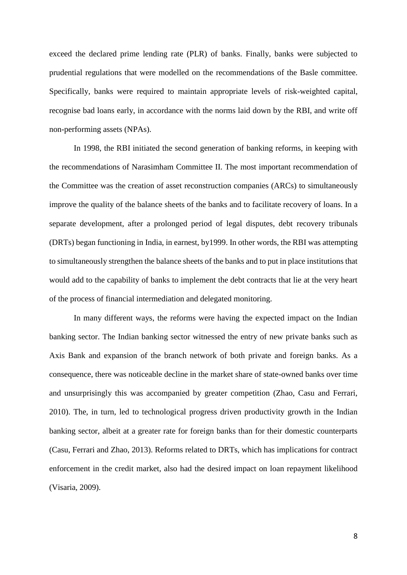exceed the declared prime lending rate (PLR) of banks. Finally, banks were subjected to prudential regulations that were modelled on the recommendations of the Basle committee. Specifically, banks were required to maintain appropriate levels of risk-weighted capital, recognise bad loans early, in accordance with the norms laid down by the RBI, and write off non-performing assets (NPAs).

In 1998, the RBI initiated the second generation of banking reforms, in keeping with the recommendations of Narasimham Committee II. The most important recommendation of the Committee was the creation of asset reconstruction companies (ARCs) to simultaneously improve the quality of the balance sheets of the banks and to facilitate recovery of loans. In a separate development, after a prolonged period of legal disputes, debt recovery tribunals (DRTs) began functioning in India, in earnest, by1999. In other words, the RBI was attempting to simultaneously strengthen the balance sheets of the banks and to put in place institutions that would add to the capability of banks to implement the debt contracts that lie at the very heart of the process of financial intermediation and delegated monitoring.

In many different ways, the reforms were having the expected impact on the Indian banking sector. The Indian banking sector witnessed the entry of new private banks such as Axis Bank and expansion of the branch network of both private and foreign banks. As a consequence, there was noticeable decline in the market share of state-owned banks over time and unsurprisingly this was accompanied by greater competition (Zhao, Casu and Ferrari, 2010). The, in turn, led to technological progress driven productivity growth in the Indian banking sector, albeit at a greater rate for foreign banks than for their domestic counterparts (Casu, Ferrari and Zhao, 2013). Reforms related to DRTs, which has implications for contract enforcement in the credit market, also had the desired impact on loan repayment likelihood (Visaria, 2009).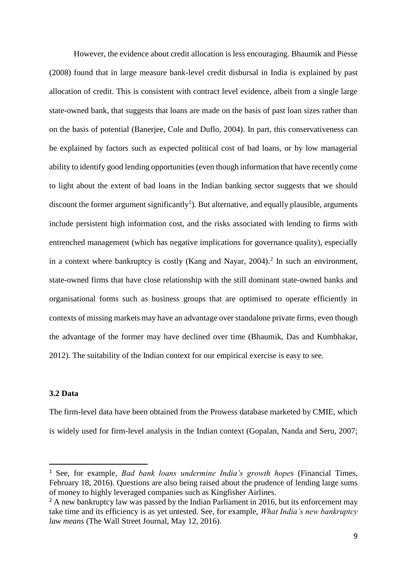However, the evidence about credit allocation is less encouraging. Bhaumik and Piesse (2008) found that in large measure bank-level credit disbursal in India is explained by past allocation of credit. This is consistent with contract level evidence, albeit from a single large state-owned bank, that suggests that loans are made on the basis of past loan sizes rather than on the basis of potential (Banerjee, Cole and Duflo, 2004). In part, this conservativeness can be explained by factors such as expected political cost of bad loans, or by low managerial ability to identify good lending opportunities (even though information that have recently come to light about the extent of bad loans in the Indian banking sector suggests that we should discount the former argument significantly<sup>1</sup>). But alternative, and equally plausible, arguments include persistent high information cost, and the risks associated with lending to firms with entrenched management (which has negative implications for governance quality), especially in a context where bankruptcy is costly (Kang and Nayar,  $2004$ ).<sup>2</sup> In such an environment, state-owned firms that have close relationship with the still dominant state-owned banks and organisational forms such as business groups that are optimised to operate efficiently in contexts of missing markets may have an advantage over standalone private firms, even though the advantage of the former may have declined over time (Bhaumik, Das and Kumbhakar, 2012). The suitability of the Indian context for our empirical exercise is easy to see.

#### **3.2 Data**

-

The firm-level data have been obtained from the Prowess database marketed by CMIE, which is widely used for firm-level analysis in the Indian context (Gopalan, Nanda and Seru, 2007;

<sup>1</sup> See, for example, *Bad bank loans undermine India's growth hopes* (Financial Times, February 18, 2016). Questions are also being raised about the prudence of lending large sums of money to highly leveraged companies such as Kingfisher Airlines.

<sup>&</sup>lt;sup>2</sup> A new bankruptcy law was passed by the Indian Parliament in 2016, but its enforcement may take time and its efficiency is as yet untested. See, for example, *What India's new bankruptcy law means* (The Wall Street Journal, May 12, 2016).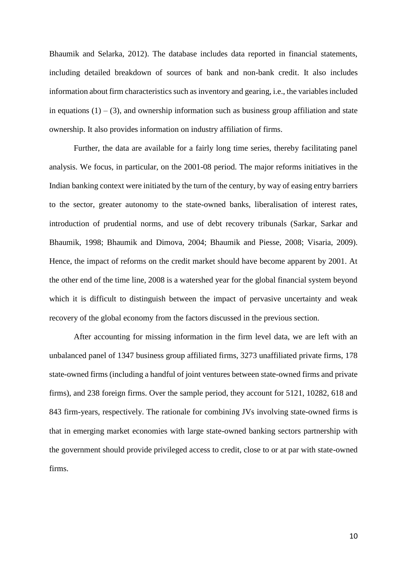Bhaumik and Selarka, 2012). The database includes data reported in financial statements, including detailed breakdown of sources of bank and non-bank credit. It also includes information about firm characteristics such as inventory and gearing, i.e., the variables included in equations  $(1) - (3)$ , and ownership information such as business group affiliation and state ownership. It also provides information on industry affiliation of firms.

Further, the data are available for a fairly long time series, thereby facilitating panel analysis. We focus, in particular, on the 2001-08 period. The major reforms initiatives in the Indian banking context were initiated by the turn of the century, by way of easing entry barriers to the sector, greater autonomy to the state-owned banks, liberalisation of interest rates, introduction of prudential norms, and use of debt recovery tribunals (Sarkar, Sarkar and Bhaumik, 1998; Bhaumik and Dimova, 2004; Bhaumik and Piesse, 2008; Visaria, 2009). Hence, the impact of reforms on the credit market should have become apparent by 2001. At the other end of the time line, 2008 is a watershed year for the global financial system beyond which it is difficult to distinguish between the impact of pervasive uncertainty and weak recovery of the global economy from the factors discussed in the previous section.

After accounting for missing information in the firm level data, we are left with an unbalanced panel of 1347 business group affiliated firms, 3273 unaffiliated private firms, 178 state-owned firms (including a handful of joint ventures between state-owned firms and private firms), and 238 foreign firms. Over the sample period, they account for 5121, 10282, 618 and 843 firm-years, respectively. The rationale for combining JVs involving state-owned firms is that in emerging market economies with large state-owned banking sectors partnership with the government should provide privileged access to credit, close to or at par with state-owned firms.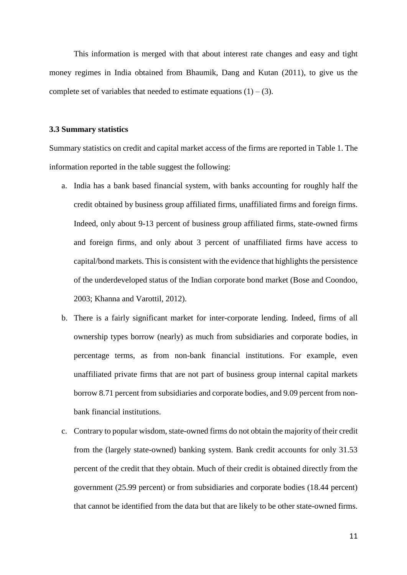This information is merged with that about interest rate changes and easy and tight money regimes in India obtained from Bhaumik, Dang and Kutan (2011), to give us the complete set of variables that needed to estimate equations  $(1) - (3)$ .

#### **3.3 Summary statistics**

Summary statistics on credit and capital market access of the firms are reported in Table 1. The information reported in the table suggest the following:

- a. India has a bank based financial system, with banks accounting for roughly half the credit obtained by business group affiliated firms, unaffiliated firms and foreign firms. Indeed, only about 9-13 percent of business group affiliated firms, state-owned firms and foreign firms, and only about 3 percent of unaffiliated firms have access to capital/bond markets. This is consistent with the evidence that highlights the persistence of the underdeveloped status of the Indian corporate bond market (Bose and Coondoo, 2003; Khanna and Varottil, 2012).
- b. There is a fairly significant market for inter-corporate lending. Indeed, firms of all ownership types borrow (nearly) as much from subsidiaries and corporate bodies, in percentage terms, as from non-bank financial institutions. For example, even unaffiliated private firms that are not part of business group internal capital markets borrow 8.71 percent from subsidiaries and corporate bodies, and 9.09 percent from nonbank financial institutions.
- c. Contrary to popular wisdom, state-owned firms do not obtain the majority of their credit from the (largely state-owned) banking system. Bank credit accounts for only 31.53 percent of the credit that they obtain. Much of their credit is obtained directly from the government (25.99 percent) or from subsidiaries and corporate bodies (18.44 percent) that cannot be identified from the data but that are likely to be other state-owned firms.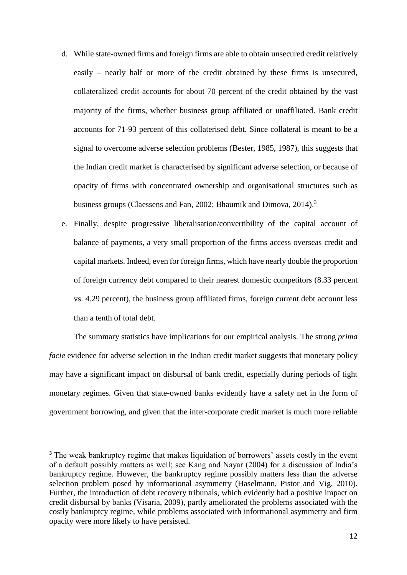- d. While state-owned firms and foreign firms are able to obtain unsecured credit relatively easily – nearly half or more of the credit obtained by these firms is unsecured, collateralized credit accounts for about 70 percent of the credit obtained by the vast majority of the firms, whether business group affiliated or unaffiliated. Bank credit accounts for 71-93 percent of this collaterised debt. Since collateral is meant to be a signal to overcome adverse selection problems (Bester, 1985, 1987), this suggests that the Indian credit market is characterised by significant adverse selection, or because of opacity of firms with concentrated ownership and organisational structures such as business groups (Claessens and Fan, 2002; Bhaumik and Dimova, 2014).<sup>3</sup>
- e. Finally, despite progressive liberalisation/convertibility of the capital account of balance of payments, a very small proportion of the firms access overseas credit and capital markets. Indeed, even for foreign firms, which have nearly double the proportion of foreign currency debt compared to their nearest domestic competitors (8.33 percent vs. 4.29 percent), the business group affiliated firms, foreign current debt account less than a tenth of total debt.

The summary statistics have implications for our empirical analysis. The strong *prima facie* evidence for adverse selection in the Indian credit market suggests that monetary policy may have a significant impact on disbursal of bank credit, especially during periods of tight monetary regimes. Given that state-owned banks evidently have a safety net in the form of government borrowing, and given that the inter-corporate credit market is much more reliable

-

<sup>&</sup>lt;sup>3</sup> The weak bankruptcy regime that makes liquidation of borrowers' assets costly in the event of a default possibly matters as well; see Kang and Nayar (2004) for a discussion of India's bankruptcy regime. However, the bankruptcy regime possibly matters less than the adverse selection problem posed by informational asymmetry (Haselmann, Pistor and Vig, 2010). Further, the introduction of debt recovery tribunals, which evidently had a positive impact on credit disbursal by banks (Visaria, 2009), partly ameliorated the problems associated with the costly bankruptcy regime, while problems associated with informational asymmetry and firm opacity were more likely to have persisted.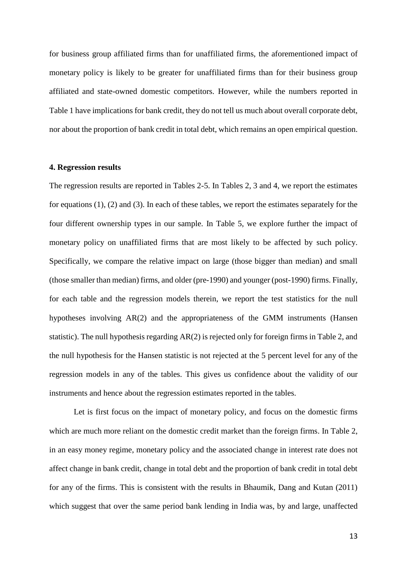for business group affiliated firms than for unaffiliated firms, the aforementioned impact of monetary policy is likely to be greater for unaffiliated firms than for their business group affiliated and state-owned domestic competitors. However, while the numbers reported in Table 1 have implications for bank credit, they do not tell us much about overall corporate debt, nor about the proportion of bank credit in total debt, which remains an open empirical question.

#### **4. Regression results**

The regression results are reported in Tables 2-5. In Tables 2, 3 and 4, we report the estimates for equations (1), (2) and (3). In each of these tables, we report the estimates separately for the four different ownership types in our sample. In Table 5, we explore further the impact of monetary policy on unaffiliated firms that are most likely to be affected by such policy. Specifically, we compare the relative impact on large (those bigger than median) and small (those smaller than median) firms, and older (pre-1990) and younger (post-1990) firms. Finally, for each table and the regression models therein, we report the test statistics for the null hypotheses involving AR(2) and the appropriateness of the GMM instruments (Hansen statistic). The null hypothesis regarding AR(2) is rejected only for foreign firms in Table 2, and the null hypothesis for the Hansen statistic is not rejected at the 5 percent level for any of the regression models in any of the tables. This gives us confidence about the validity of our instruments and hence about the regression estimates reported in the tables.

Let is first focus on the impact of monetary policy, and focus on the domestic firms which are much more reliant on the domestic credit market than the foreign firms. In Table 2, in an easy money regime, monetary policy and the associated change in interest rate does not affect change in bank credit, change in total debt and the proportion of bank credit in total debt for any of the firms. This is consistent with the results in Bhaumik, Dang and Kutan (2011) which suggest that over the same period bank lending in India was, by and large, unaffected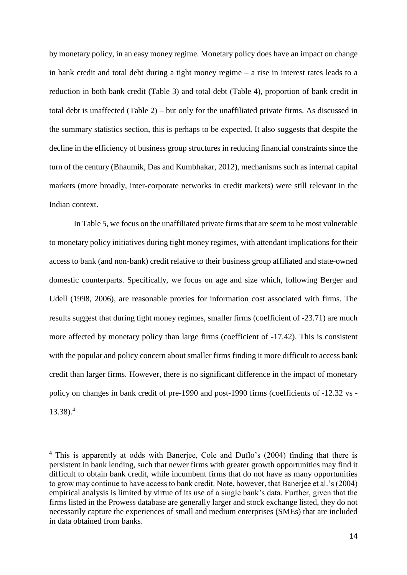by monetary policy, in an easy money regime. Monetary policy does have an impact on change in bank credit and total debt during a tight money regime – a rise in interest rates leads to a reduction in both bank credit (Table 3) and total debt (Table 4), proportion of bank credit in total debt is unaffected (Table 2) – but only for the unaffiliated private firms. As discussed in the summary statistics section, this is perhaps to be expected. It also suggests that despite the decline in the efficiency of business group structures in reducing financial constraints since the turn of the century (Bhaumik, Das and Kumbhakar, 2012), mechanisms such as internal capital markets (more broadly, inter-corporate networks in credit markets) were still relevant in the Indian context.

In Table 5, we focus on the unaffiliated private firms that are seem to be most vulnerable to monetary policy initiatives during tight money regimes, with attendant implications for their access to bank (and non-bank) credit relative to their business group affiliated and state-owned domestic counterparts. Specifically, we focus on age and size which, following Berger and Udell (1998, 2006), are reasonable proxies for information cost associated with firms. The results suggest that during tight money regimes, smaller firms (coefficient of -23.71) are much more affected by monetary policy than large firms (coefficient of -17.42). This is consistent with the popular and policy concern about smaller firms finding it more difficult to access bank credit than larger firms. However, there is no significant difference in the impact of monetary policy on changes in bank credit of pre-1990 and post-1990 firms (coefficients of -12.32 vs - 13.38). 4

-

<sup>4</sup> This is apparently at odds with Banerjee, Cole and Duflo's (2004) finding that there is persistent in bank lending, such that newer firms with greater growth opportunities may find it difficult to obtain bank credit, while incumbent firms that do not have as many opportunities to grow may continue to have access to bank credit. Note, however, that Banerjee et al.'s (2004) empirical analysis is limited by virtue of its use of a single bank's data. Further, given that the firms listed in the Prowess database are generally larger and stock exchange listed, they do not necessarily capture the experiences of small and medium enterprises (SMEs) that are included in data obtained from banks.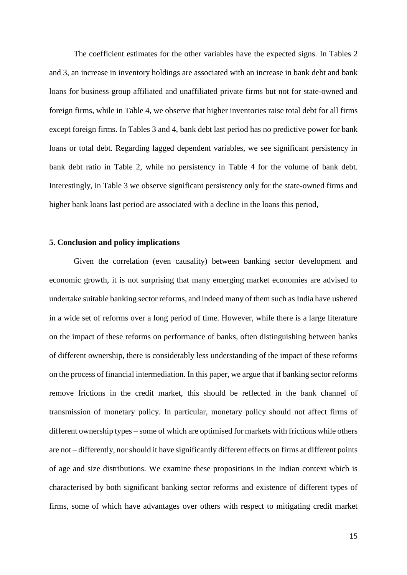The coefficient estimates for the other variables have the expected signs. In Tables 2 and 3, an increase in inventory holdings are associated with an increase in bank debt and bank loans for business group affiliated and unaffiliated private firms but not for state-owned and foreign firms, while in Table 4, we observe that higher inventories raise total debt for all firms except foreign firms. In Tables 3 and 4, bank debt last period has no predictive power for bank loans or total debt. Regarding lagged dependent variables, we see significant persistency in bank debt ratio in Table 2, while no persistency in Table 4 for the volume of bank debt. Interestingly, in Table 3 we observe significant persistency only for the state-owned firms and higher bank loans last period are associated with a decline in the loans this period,

#### **5. Conclusion and policy implications**

Given the correlation (even causality) between banking sector development and economic growth, it is not surprising that many emerging market economies are advised to undertake suitable banking sector reforms, and indeed many of them such as India have ushered in a wide set of reforms over a long period of time. However, while there is a large literature on the impact of these reforms on performance of banks, often distinguishing between banks of different ownership, there is considerably less understanding of the impact of these reforms on the process of financial intermediation. In this paper, we argue that if banking sector reforms remove frictions in the credit market, this should be reflected in the bank channel of transmission of monetary policy. In particular, monetary policy should not affect firms of different ownership types – some of which are optimised for markets with frictions while others are not – differently, nor should it have significantly different effects on firms at different points of age and size distributions. We examine these propositions in the Indian context which is characterised by both significant banking sector reforms and existence of different types of firms, some of which have advantages over others with respect to mitigating credit market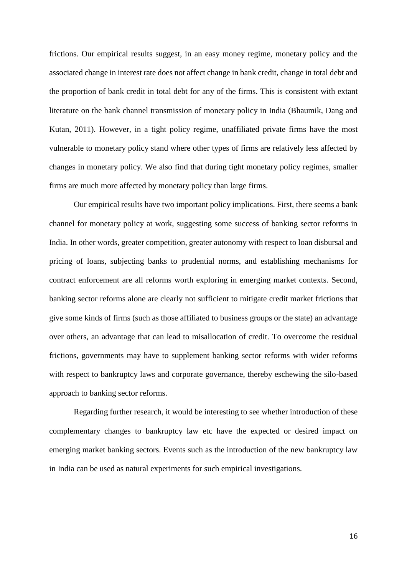frictions. Our empirical results suggest, in an easy money regime, monetary policy and the associated change in interest rate does not affect change in bank credit, change in total debt and the proportion of bank credit in total debt for any of the firms. This is consistent with extant literature on the bank channel transmission of monetary policy in India (Bhaumik, Dang and Kutan, 2011). However, in a tight policy regime, unaffiliated private firms have the most vulnerable to monetary policy stand where other types of firms are relatively less affected by changes in monetary policy. We also find that during tight monetary policy regimes, smaller firms are much more affected by monetary policy than large firms.

Our empirical results have two important policy implications. First, there seems a bank channel for monetary policy at work, suggesting some success of banking sector reforms in India. In other words, greater competition, greater autonomy with respect to loan disbursal and pricing of loans, subjecting banks to prudential norms, and establishing mechanisms for contract enforcement are all reforms worth exploring in emerging market contexts. Second, banking sector reforms alone are clearly not sufficient to mitigate credit market frictions that give some kinds of firms (such as those affiliated to business groups or the state) an advantage over others, an advantage that can lead to misallocation of credit. To overcome the residual frictions, governments may have to supplement banking sector reforms with wider reforms with respect to bankruptcy laws and corporate governance, thereby eschewing the silo-based approach to banking sector reforms.

Regarding further research, it would be interesting to see whether introduction of these complementary changes to bankruptcy law etc have the expected or desired impact on emerging market banking sectors. Events such as the introduction of the new bankruptcy law in India can be used as natural experiments for such empirical investigations.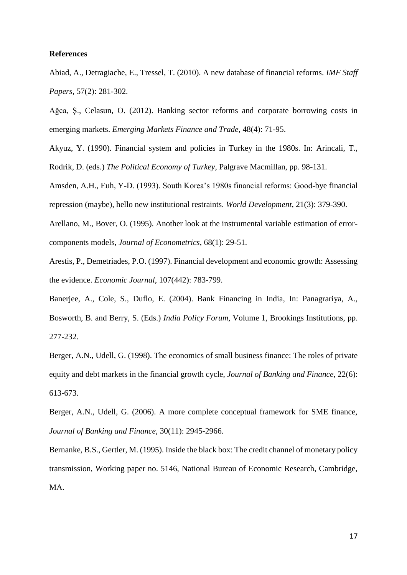#### **References**

Abiad, A., Detragiache, E., Tressel, T. (2010). A new database of financial reforms. *IMF Staff Papers*, 57(2): 281-302.

Ağca, Ş., Celasun, O. (2012). Banking sector reforms and corporate borrowing costs in emerging markets. *Emerging Markets Finance and Trade*, 48(4): 71-95.

Akyuz, Y. (1990). Financial system and policies in Turkey in the 1980s. In: Arincali, T., Rodrik, D. (eds.) *The Political Economy of Turkey*, Palgrave Macmillan, pp. 98-131.

Amsden, A.H., Euh, Y-D. (1993). South Korea's 1980s financial reforms: Good-bye financial repression (maybe), hello new institutional restraints. *World Development*, 21(3): 379-390.

Arellano, M., Bover, O. (1995). Another look at the instrumental variable estimation of errorcomponents models, *Journal of Econometrics*, 68(1): 29-51.

Arestis, P., Demetriades, P.O. (1997). Financial development and economic growth: Assessing the evidence. *Economic Journal*, 107(442): 783-799.

Banerjee, A., Cole, S., Duflo, E. (2004). Bank Financing in India, In: Panagrariya, A., Bosworth, B. and Berry, S. (Eds.) *India Policy Forum*, Volume 1, Brookings Institutions, pp. 277-232.

Berger, A.N., Udell, G. (1998). The economics of small business finance: The roles of private equity and debt markets in the financial growth cycle, *Journal of Banking and Finance*, 22(6): 613-673.

Berger, A.N., Udell, G. (2006). A more complete conceptual framework for SME finance, *Journal of Banking and Finance*, 30(11): 2945-2966.

Bernanke, B.S., Gertler, M. (1995). Inside the black box: The credit channel of monetary policy transmission, Working paper no. 5146, National Bureau of Economic Research, Cambridge, MA.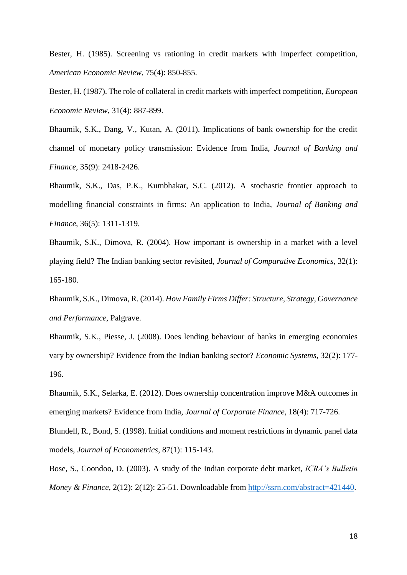Bester, H. (1985). Screening vs rationing in credit markets with imperfect competition, *American Economic Review*, 75(4): 850-855.

Bester, H. (1987). The role of collateral in credit markets with imperfect competition, *European Economic Review*, 31(4): 887-899.

Bhaumik, S.K., Dang, V., Kutan, A. (2011). Implications of bank ownership for the credit channel of monetary policy transmission: Evidence from India, *Journal of Banking and Finance*, 35(9): 2418-2426.

Bhaumik, S.K., Das, P.K., Kumbhakar, S.C. (2012). A stochastic frontier approach to modelling financial constraints in firms: An application to India, *Journal of Banking and Finance*, 36(5): 1311-1319.

Bhaumik, S.K., Dimova, R. (2004). How important is ownership in a market with a level playing field? The Indian banking sector revisited, *Journal of Comparative Economics*, 32(1): 165-180.

Bhaumik, S.K., Dimova, R. (2014). *How Family Firms Differ: Structure, Strategy, Governance and Performance*, Palgrave.

Bhaumik, S.K., Piesse, J. (2008). Does lending behaviour of banks in emerging economies vary by ownership? Evidence from the Indian banking sector? *Economic Systems*, 32(2): 177- 196.

Bhaumik, S.K., Selarka, E. (2012). Does ownership concentration improve M&A outcomes in emerging markets? Evidence from India, *Journal of Corporate Finance*, 18(4): 717-726.

Blundell, R., Bond, S. (1998). Initial conditions and moment restrictions in dynamic panel data models, *Journal of Econometrics*, 87(1): 115-143.

Bose, S., Coondoo, D. (2003). A study of the Indian corporate debt market, *ICRA's Bulletin Money & Finance*, 2(12): 2(12): 25-51. Downloadable from [http://ssrn.com/abstract=421440.](http://ssrn.com/abstract=421440)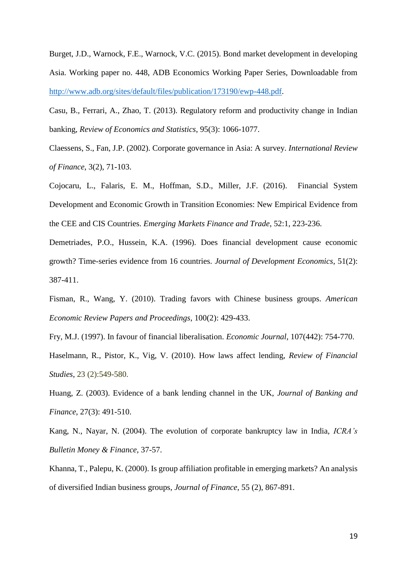Burget, J.D., Warnock, F.E., Warnock, V.C. (2015). Bond market development in developing Asia. Working paper no. 448, ADB Economics Working Paper Series, Downloadable from [http://www.adb.org/sites/default/files/publication/173190/ewp-448.pdf.](http://www.adb.org/sites/default/files/publication/173190/ewp-448.pdf)

Casu, B., Ferrari, A., Zhao, T. (2013). Regulatory reform and productivity change in Indian banking, *Review of Economics and Statistics*, 95(3): 1066-1077.

Claessens, S., Fan, J.P. (2002). Corporate governance in Asia: A survey. *International Review of Finance*, 3(2), 71-103.

Cojocaru, L., Falaris, E. M., Hoffman, S.D., Miller, J.F. (2016). Financial System Development and Economic Growth in Transition Economies: New Empirical Evidence from the CEE and CIS Countries. *Emerging Markets Finance and Trade*, 52:1, 223-236.

Demetriades, P.O., Hussein, K.A. (1996). Does financial development cause economic growth? Time-series evidence from 16 countries. *Journal of Development Economics*, 51(2): 387-411.

Fisman, R., Wang, Y. (2010). Trading favors with Chinese business groups. *American Economic Review Papers and Proceedings*, 100(2): 429-433.

Fry, M.J. (1997). In favour of financial liberalisation. *Economic Journal*, 107(442): 754-770.

Haselmann, R., Pistor, K., Vig, V. (2010). How laws affect lending, *Review of Financial Studies*, 23 (2):549-580.

Huang, Z. (2003). Evidence of a bank lending channel in the UK, *Journal of Banking and Finance*, 27(3): 491-510.

Kang, N., Nayar, N. (2004). The evolution of corporate bankruptcy law in India, *ICRA's Bulletin Money & Finance*, 37-57.

Khanna, T., Palepu, K. (2000). Is group affiliation profitable in emerging markets? An analysis of diversified Indian business groups, *Journal of Finance*, 55 (2), 867-891.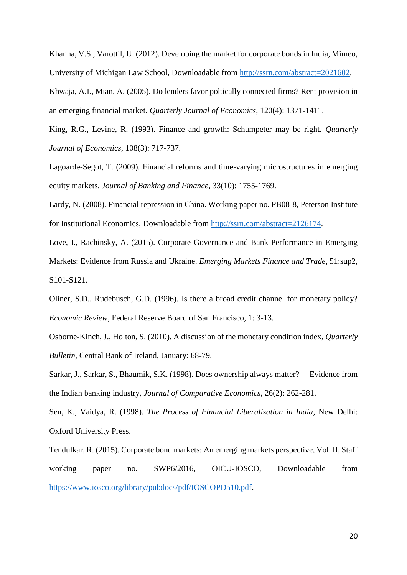Khanna, V.S., Varottil, U. (2012). Developing the market for corporate bonds in India, Mimeo, University of Michigan Law School, Downloadable from [http://ssrn.com/abstract=2021602.](http://ssrn.com/abstract=2021602)

Khwaja, A.I., Mian, A. (2005). Do lenders favor poltically connected firms? Rent provision in an emerging financial market. *Quarterly Journal of Economics*, 120(4): 1371-1411.

King, R.G., Levine, R. (1993). Finance and growth: Schumpeter may be right. *Quarterly Journal of Economics*, 108(3): 717-737.

Lagoarde-Segot, T. (2009). Financial reforms and time-varying microstructures in emerging equity markets. *Journal of Banking and Finance*, 33(10): 1755-1769.

Lardy, N. (2008). Financial repression in China. Working paper no. PB08-8, Peterson Institute for Institutional Economics, Downloadable from [http://ssrn.com/abstract=2126174.](http://ssrn.com/abstract=2126174)

Love, I., Rachinsky, A. (2015). Corporate Governance and Bank Performance in Emerging Markets: Evidence from Russia and Ukraine. *Emerging Markets Finance and Trade*, 51:sup2, S101-S121.

Oliner, S.D., Rudebusch, G.D. (1996). Is there a broad credit channel for monetary policy? *Economic Review*, Federal Reserve Board of San Francisco, 1: 3-13.

Osborne-Kinch, J., Holton, S. (2010). A discussion of the monetary condition index, *Quarterly Bulletin*, Central Bank of Ireland, January: 68-79.

Sarkar, J., Sarkar, S., Bhaumik, S.K. (1998). Does ownership always matter?— Evidence from the Indian banking industry, *Journal of Comparative Economics*, 26(2): 262-281.

Sen, K., Vaidya, R. (1998). *The Process of Financial Liberalization in India*, New Delhi: Oxford University Press.

Tendulkar, R. (2015). Corporate bond markets: An emerging markets perspective, Vol. II, Staff working paper no. SWP6/2016, OICU-IOSCO, Downloadable from [https://www.iosco.org/library/pubdocs/pdf/IOSCOPD510.pdf.](https://www.iosco.org/library/pubdocs/pdf/IOSCOPD510.pdf)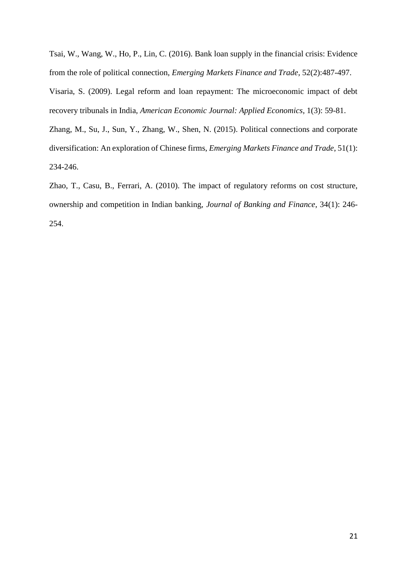Tsai, W., Wang, W., Ho, P., Lin, C. (2016). Bank loan supply in the financial crisis: Evidence from the role of political connection, *Emerging Markets Finance and Trade*, 52(2):487-497.

Visaria, S. (2009). Legal reform and loan repayment: The microeconomic impact of debt recovery tribunals in India, *American Economic Journal: Applied Economics*, 1(3): 59-81.

Zhang, M., Su, J., Sun, Y., Zhang, W., Shen, N. (2015). Political connections and corporate diversification: An exploration of Chinese firms, *Emerging Markets Finance and Trade*, 51(1): 234-246.

Zhao, T., Casu, B., Ferrari, A. (2010). The impact of regulatory reforms on cost structure, ownership and competition in Indian banking, *Journal of Banking and Finance*, 34(1): 246- 254.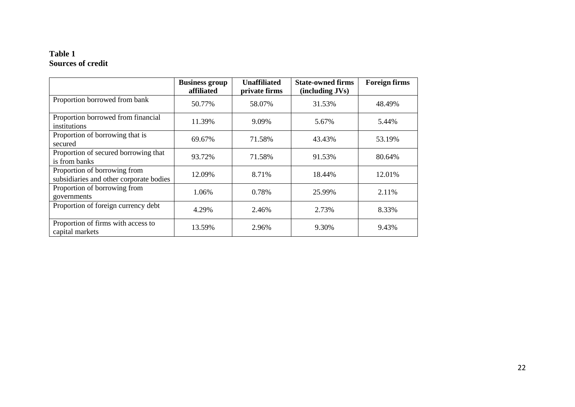### **Table 1 Sources of credit**

|                                                                         | <b>Business group</b><br>affiliated | <b>Unaffiliated</b><br>private firms | <b>State-owned firms</b><br>(including JVs) | <b>Foreign firms</b> |
|-------------------------------------------------------------------------|-------------------------------------|--------------------------------------|---------------------------------------------|----------------------|
| Proportion borrowed from bank                                           | 50.77%                              | 58.07%                               | 31.53%                                      | 48.49%               |
| Proportion borrowed from financial<br>institutions                      | 11.39%                              | 9.09%                                | 5.67%                                       | 5.44%                |
| Proportion of borrowing that is<br>secured                              | 69.67%                              | 71.58%                               | 43.43%                                      | 53.19%               |
| Proportion of secured borrowing that<br>is from banks                   | 93.72%                              | 71.58%                               | 91.53%                                      | 80.64%               |
| Proportion of borrowing from<br>subsidiaries and other corporate bodies | 12.09%                              | 8.71%                                | 18.44%                                      | 12.01%               |
| Proportion of borrowing from<br>governments                             | 1.06%                               | 0.78%                                | 25.99%                                      | 2.11%                |
| Proportion of foreign currency debt                                     | 4.29%                               | 2.46%                                | 2.73%                                       | 8.33%                |
| Proportion of firms with access to<br>capital markets                   | 13.59%                              | 2.96%                                | 9.30%                                       | 9.43%                |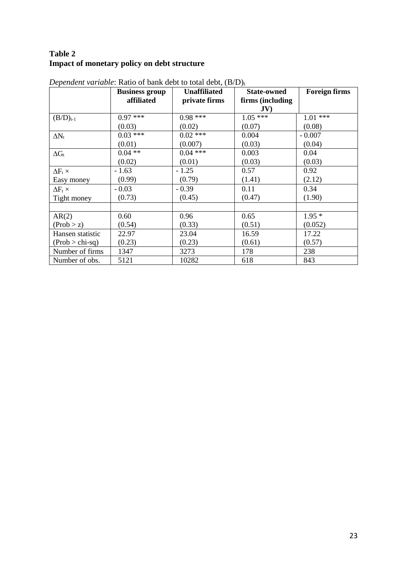## **Table 2 Impact of monetary policy on debt structure**

|                     | <b>Business group</b> | <b>Unaffiliated</b> | <b>State-owned</b> | <b>Foreign firms</b> |
|---------------------|-----------------------|---------------------|--------------------|----------------------|
|                     | affiliated            | private firms       | firms (including   |                      |
|                     |                       |                     | JV                 |                      |
| $(B/D)_{t-1}$       | $0.97***$             | $0.98***$           | $1.05***$          | $1.01***$            |
|                     | (0.03)                | (0.02)              | (0.07)             | (0.08)               |
| $\Delta N_t$        | $0.03***$             | $0.02$ ***          | 0.004              | $-0.007$             |
|                     | (0.01)                | (0.007)             | (0.03)             | (0.04)               |
| $\Delta G_t$        | $0.04$ **             | $0.04$ ***          | 0.003              | 0.04                 |
|                     | (0.02)                | (0.01)              | (0.03)             | (0.03)               |
| $\Delta F_t \times$ | $-1.63$               | $-1.25$             | 0.57               | 0.92                 |
| Easy money          | (0.99)                | (0.79)              | (1.41)             | (2.12)               |
| $\Delta F_t \times$ | $-0.03$               | $-0.39$             | 0.11               | 0.34                 |
| Tight money         | (0.73)                | (0.45)              | (0.47)             | (1.90)               |
|                     |                       |                     |                    |                      |
| AR(2)               | 0.60                  | 0.96                | 0.65               | $1.95*$              |
| (Prob > z)          | (0.54)                | (0.33)              | (0.51)             | (0.052)              |
| Hansen statistic    | 22.97                 | 23.04               | 16.59              | 17.22                |
| $(Prob > chi-sq)$   | (0.23)                | (0.23)              | (0.61)             | (0.57)               |
| Number of firms     | 1347                  | 3273                | 178                | 238                  |
| Number of obs.      | 5121                  | 10282               | 618                | 843                  |

*Dependent variable*: Ratio of bank debt to total debt,  $(B/D)_t$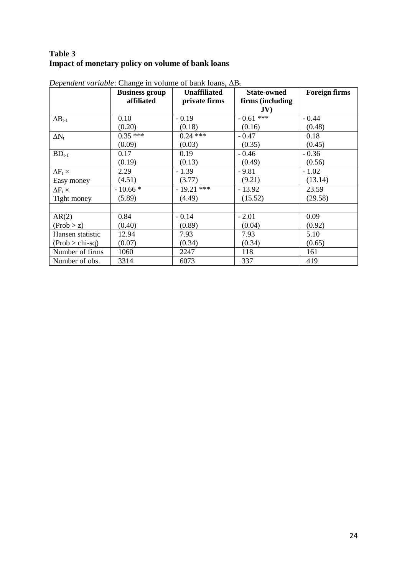## **Table 3 Impact of monetary policy on volume of bank loans**

|                     | <b>Business group</b><br>affiliated | <b>Unaffiliated</b><br>private firms | <b>State-owned</b><br>firms (including<br>JV) | <b>Foreign firms</b> |
|---------------------|-------------------------------------|--------------------------------------|-----------------------------------------------|----------------------|
| $\Delta B_{t-1}$    | 0.10                                | $-0.19$                              | $-0.61$ ***                                   | $-0.44$              |
|                     | (0.20)                              | (0.18)                               | (0.16)                                        | (0.48)               |
| $\Delta N_t$        | $0.35***$                           | $0.24$ ***                           | $-0.47$                                       | 0.18                 |
|                     | (0.09)                              | (0.03)                               | (0.35)                                        | (0.45)               |
| $BD_{t-1}$          | 0.17                                | 0.19                                 | $-0.46$                                       | $-0.36$              |
|                     | (0.19)                              | (0.13)                               | (0.49)                                        | (0.56)               |
| $\Delta F_t \times$ | 2.29                                | $-1.39$                              | $-9.81$                                       | $-1.02$              |
| Easy money          | (4.51)                              | (3.77)                               | (9.21)                                        | (13.14)              |
| $\Delta F_t \times$ | $-10.66*$                           | $-19.21$ ***                         | $-13.92$                                      | 23.59                |
| Tight money         | (5.89)                              | (4.49)                               | (15.52)                                       | (29.58)              |
|                     |                                     |                                      |                                               |                      |
| AR(2)               | 0.84                                | $-0.14$                              | $-2.01$                                       | 0.09                 |
| (Prob > z)          | (0.40)                              | (0.89)                               | (0.04)                                        | (0.92)               |
| Hansen statistic    | 12.94                               | 7.93                                 | 7.93                                          | 5.10                 |
| $(Prob > chi-sq)$   | (0.07)                              | (0.34)                               | (0.34)                                        | (0.65)               |
| Number of firms     | 1060                                | 2247                                 | 118                                           | 161                  |
| Number of obs.      | 3314                                | 6073                                 | 337                                           | 419                  |

*Dependent variable*: Change in volume of bank loans,  $\Delta B_t$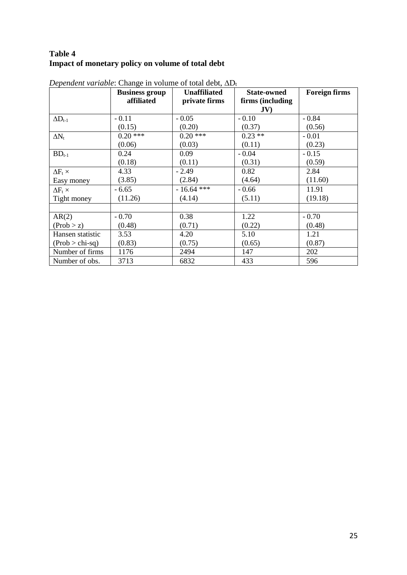## **Table 4 Impact of monetary policy on volume of total debt**

|                         | <b>Business group</b><br>affiliated | <b>Unaffiliated</b><br>private firms | <b>State-owned</b><br>firms (including | <b>Foreign firms</b> |
|-------------------------|-------------------------------------|--------------------------------------|----------------------------------------|----------------------|
|                         |                                     |                                      | JV                                     |                      |
| $\Delta D_{t\text{-}1}$ | $-0.11$                             | $-0.05$                              | $-0.10$                                | $-0.84$              |
|                         | (0.15)                              | (0.20)                               | (0.37)                                 | (0.56)               |
| $\Delta N_t$            | $0.20$ ***                          | $0.20$ ***                           | $0.23$ **                              | $-0.01$              |
|                         | (0.06)                              | (0.03)                               | (0.11)                                 | (0.23)               |
| $BD_{t-1}$              | 0.24                                | 0.09                                 | $-0.04$                                | $-0.15$              |
|                         | (0.18)                              | (0.11)                               | (0.31)                                 | (0.59)               |
| $\Delta F_t \times$     | 4.33                                | $-2.49$                              | 0.82                                   | 2.84                 |
| Easy money              | (3.85)                              | (2.84)                               | (4.64)                                 | (11.60)              |
| $\Delta F_t \times$     | $-6.65$                             | $-16.64$ ***                         | $-0.66$                                | 11.91                |
| Tight money             | (11.26)                             | (4.14)                               | (5.11)                                 | (19.18)              |
|                         |                                     |                                      |                                        |                      |
| AR(2)                   | $-0.70$                             | 0.38                                 | 1.22                                   | $-0.70$              |
| (Prob > z)              | (0.48)                              | (0.71)                               | (0.22)                                 | (0.48)               |
| Hansen statistic        | 3.53                                | 4.20                                 | 5.10                                   | 1.21                 |
| $(Prob > chi-sq)$       | (0.83)                              | (0.75)                               | (0.65)                                 | (0.87)               |
| Number of firms         | 1176                                | 2494                                 | 147                                    | 202                  |
| Number of obs.          | 3713                                | 6832                                 | 433                                    | 596                  |

*Dependent variable*: Change in volume of total debt,  $\Delta D_t$